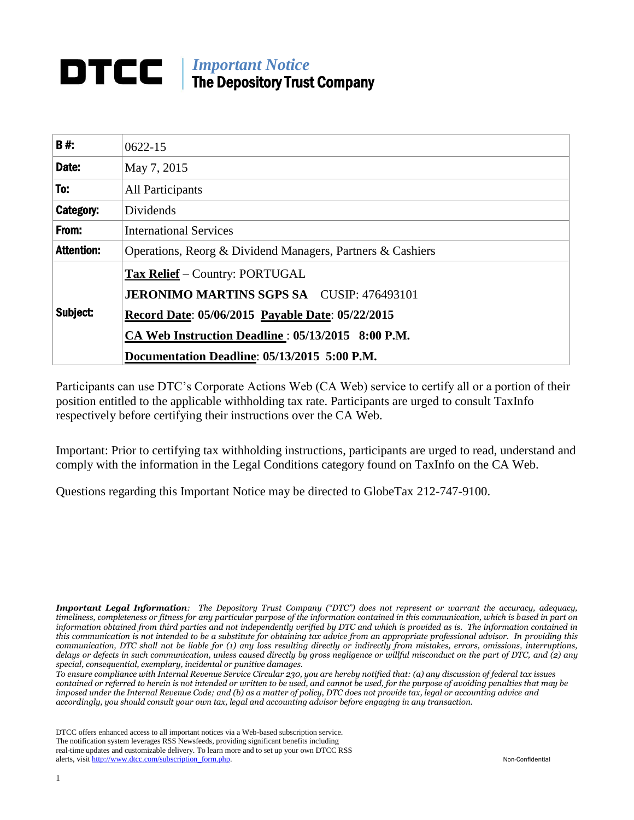# *Important Notice* The Depository Trust Company

| <b>B#:</b>        | $0622 - 15$                                                |  |  |  |  |  |
|-------------------|------------------------------------------------------------|--|--|--|--|--|
| Date:             | May 7, 2015                                                |  |  |  |  |  |
| To:               | All Participants                                           |  |  |  |  |  |
| Category:         | Dividends                                                  |  |  |  |  |  |
| From:             | <b>International Services</b>                              |  |  |  |  |  |
| <b>Attention:</b> | Operations, Reorg & Dividend Managers, Partners & Cashiers |  |  |  |  |  |
| Subject:          | <b>Tax Relief</b> – Country: PORTUGAL                      |  |  |  |  |  |
|                   | <b>JERONIMO MARTINS SGPS SA CUSIP: 476493101</b>           |  |  |  |  |  |
|                   | Record Date: 05/06/2015 Payable Date: 05/22/2015           |  |  |  |  |  |
|                   | CA Web Instruction Deadline: 05/13/2015 8:00 P.M.          |  |  |  |  |  |
|                   | Documentation Deadline: 05/13/2015 5:00 P.M.               |  |  |  |  |  |

Participants can use DTC's Corporate Actions Web (CA Web) service to certify all or a portion of their position entitled to the applicable withholding tax rate. Participants are urged to consult TaxInfo respectively before certifying their instructions over the CA Web.

Important: Prior to certifying tax withholding instructions, participants are urged to read, understand and comply with the information in the Legal Conditions category found on TaxInfo on the CA Web.

Questions regarding this Important Notice may be directed to GlobeTax 212-747-9100.

*Important Legal Information: The Depository Trust Company ("DTC") does not represent or warrant the accuracy, adequacy, timeliness, completeness or fitness for any particular purpose of the information contained in this communication, which is based in part on information obtained from third parties and not independently verified by DTC and which is provided as is. The information contained in this communication is not intended to be a substitute for obtaining tax advice from an appropriate professional advisor. In providing this communication, DTC shall not be liable for (1) any loss resulting directly or indirectly from mistakes, errors, omissions, interruptions, delays or defects in such communication, unless caused directly by gross negligence or willful misconduct on the part of DTC, and (2) any special, consequential, exemplary, incidental or punitive damages.*

*To ensure compliance with Internal Revenue Service Circular 230, you are hereby notified that: (a) any discussion of federal tax issues contained or referred to herein is not intended or written to be used, and cannot be used, for the purpose of avoiding penalties that may be imposed under the Internal Revenue Code; and (b) as a matter of policy, DTC does not provide tax, legal or accounting advice and accordingly, you should consult your own tax, legal and accounting advisor before engaging in any transaction.*

DTCC offers enhanced access to all important notices via a Web-based subscription service. The notification system leverages RSS Newsfeeds, providing significant benefits including real-time updates and customizable delivery. To learn more and to set up your own DTCC RSS alerts, visit [http://www.dtcc.com/subscription\\_form.php.](http://www.dtcc.com/subscription_form.php) Non-Confidential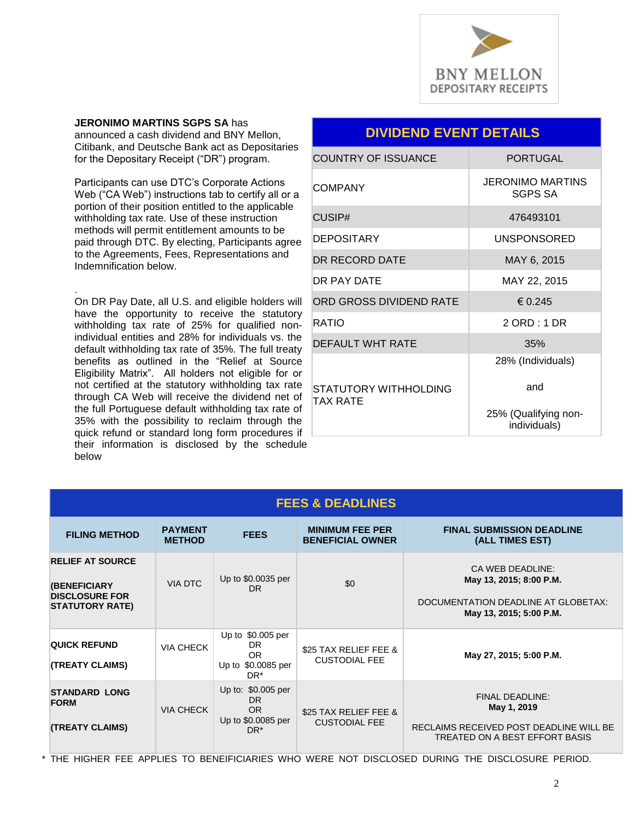

**JERONIMO MARTINS SGPS SA** has announced a cash dividend and BNY Mellon, Citibank, and Deutsche Bank act as Depositaries for the Depositary Receipt ("DR") program.

Participants can use DTC's Corporate Actions Web ("CA Web") instructions tab to certify all or a portion of their position entitled to the applicable withholding tax rate. Use of these instruction methods will permit entitlement amounts to be paid through DTC. By electing, Participants agree to the Agreements, Fees, Representations and Indemnification below.

. On DR Pay Date, all U.S. and eligible holders will have the opportunity to receive the statutory withholding tax rate of 25% for qualified nonindividual entities and 28% for individuals vs. the default withholding tax rate of 35%. The full treaty benefits as outlined in the "Relief at Source Eligibility Matrix". All holders not eligible for or not certified at the statutory withholding tax rate through CA Web will receive the dividend net of the full Portuguese default withholding tax rate of 35% with the possibility to reclaim through the quick refund or standard long form procedures if their information is disclosed by the schedule below

### **DIVIDEND EVENT DETAILS**

| <b>COUNTRY OF ISSUANCE</b>        | <b>PORTUGAL</b>                           |
|-----------------------------------|-------------------------------------------|
| COMPANY                           | <b>JERONIMO MARTINS</b><br><b>SGPS SA</b> |
| CUSIP#                            | 476493101                                 |
| <b>DEPOSITARY</b>                 | <b>UNSPONSORED</b>                        |
| DR RECORD DATE                    | MAY 6, 2015                               |
| DR PAY DATF                       | MAY 22, 2015                              |
| ORD GROSS DIVIDEND RATE           | € 0.245                                   |
| RATIO                             | $2$ ORD : 1 DR                            |
| DEFAULT WHT RATE                  | 35%                                       |
|                                   | 28% (Individuals)                         |
| STATUTORY WITHHOLDING<br>TAX RATE | and                                       |
|                                   | 25% (Qualifying non-<br>individuals)      |

| <b>FEES &amp; DEADLINES</b>                                                                |                                 |                                                                                 |                                                   |                                                                                                                    |  |  |  |  |
|--------------------------------------------------------------------------------------------|---------------------------------|---------------------------------------------------------------------------------|---------------------------------------------------|--------------------------------------------------------------------------------------------------------------------|--|--|--|--|
| <b>FILING METHOD</b>                                                                       | <b>PAYMENT</b><br><b>METHOD</b> | <b>FEES</b>                                                                     | <b>MINIMUM FEE PER</b><br><b>BENEFICIAL OWNER</b> | <b>FINAL SUBMISSION DEADLINE</b><br>(ALL TIMES EST)                                                                |  |  |  |  |
| <b>RELIEF AT SOURCE</b><br>(BENEFICIARY<br><b>DISCLOSURE FOR</b><br><b>STATUTORY RATE)</b> | <b>VIA DTC</b>                  | Up to \$0.0035 per<br>DR.                                                       | \$0                                               | CA WEB DEADLINE:<br>May 13, 2015; 8:00 P.M.<br>DOCUMENTATION DEADLINE AT GLOBETAX:<br>May 13, 2015; 5:00 P.M.      |  |  |  |  |
| <b>QUICK REFUND</b><br><b>(TREATY CLAIMS)</b>                                              | <b>VIA CHECK</b>                | Up to \$0.005 per<br>DR.<br>OR.<br>Up to \$0.0085 per<br>$DR^*$                 | \$25 TAX RELIEF FEE &<br><b>CUSTODIAL FEE</b>     | May 27, 2015; 5:00 P.M.                                                                                            |  |  |  |  |
| <b>STANDARD LONG</b><br><b>FORM</b><br><b>(TREATY CLAIMS)</b>                              | <b>VIA CHECK</b>                | Up to: \$0.005 per<br><b>DR</b><br>OR.<br>Up to \$0.0085 per<br>DR <sup>*</sup> | \$25 TAX RELIEF FEE &<br><b>CUSTODIAL FEE</b>     | <b>FINAL DEADLINE:</b><br>May 1, 2019<br>RECLAIMS RECEIVED POST DEADLINE WILL BE<br>TREATED ON A BEST EFFORT BASIS |  |  |  |  |

\* THE HIGHER FEE APPLIES TO BENEIFICIARIES WHO WERE NOT DISCLOSED DURING THE DISCLOSURE PERIOD.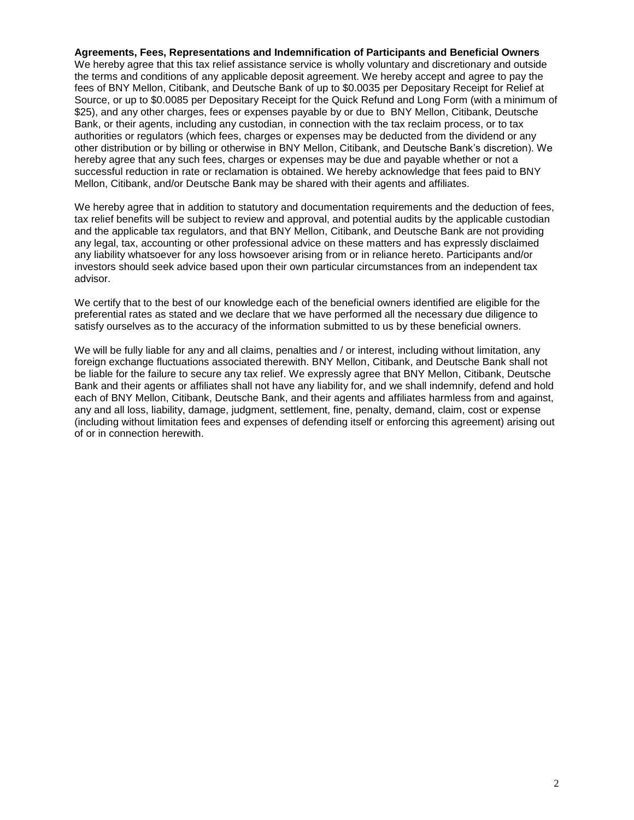**Agreements, Fees, Representations and Indemnification of Participants and Beneficial Owners**

We hereby agree that this tax relief assistance service is wholly voluntary and discretionary and outside the terms and conditions of any applicable deposit agreement. We hereby accept and agree to pay the fees of BNY Mellon, Citibank, and Deutsche Bank of up to \$0.0035 per Depositary Receipt for Relief at Source, or up to \$0.0085 per Depositary Receipt for the Quick Refund and Long Form (with a minimum of \$25), and any other charges, fees or expenses payable by or due to BNY Mellon, Citibank, Deutsche Bank, or their agents, including any custodian, in connection with the tax reclaim process, or to tax authorities or regulators (which fees, charges or expenses may be deducted from the dividend or any other distribution or by billing or otherwise in BNY Mellon, Citibank, and Deutsche Bank's discretion). We hereby agree that any such fees, charges or expenses may be due and payable whether or not a successful reduction in rate or reclamation is obtained. We hereby acknowledge that fees paid to BNY Mellon, Citibank, and/or Deutsche Bank may be shared with their agents and affiliates.

We hereby agree that in addition to statutory and documentation requirements and the deduction of fees, tax relief benefits will be subject to review and approval, and potential audits by the applicable custodian and the applicable tax regulators, and that BNY Mellon, Citibank, and Deutsche Bank are not providing any legal, tax, accounting or other professional advice on these matters and has expressly disclaimed any liability whatsoever for any loss howsoever arising from or in reliance hereto. Participants and/or investors should seek advice based upon their own particular circumstances from an independent tax advisor.

We certify that to the best of our knowledge each of the beneficial owners identified are eligible for the preferential rates as stated and we declare that we have performed all the necessary due diligence to satisfy ourselves as to the accuracy of the information submitted to us by these beneficial owners.

We will be fully liable for any and all claims, penalties and / or interest, including without limitation, any foreign exchange fluctuations associated therewith. BNY Mellon, Citibank, and Deutsche Bank shall not be liable for the failure to secure any tax relief. We expressly agree that BNY Mellon, Citibank, Deutsche Bank and their agents or affiliates shall not have any liability for, and we shall indemnify, defend and hold each of BNY Mellon, Citibank, Deutsche Bank, and their agents and affiliates harmless from and against, any and all loss, liability, damage, judgment, settlement, fine, penalty, demand, claim, cost or expense (including without limitation fees and expenses of defending itself or enforcing this agreement) arising out of or in connection herewith.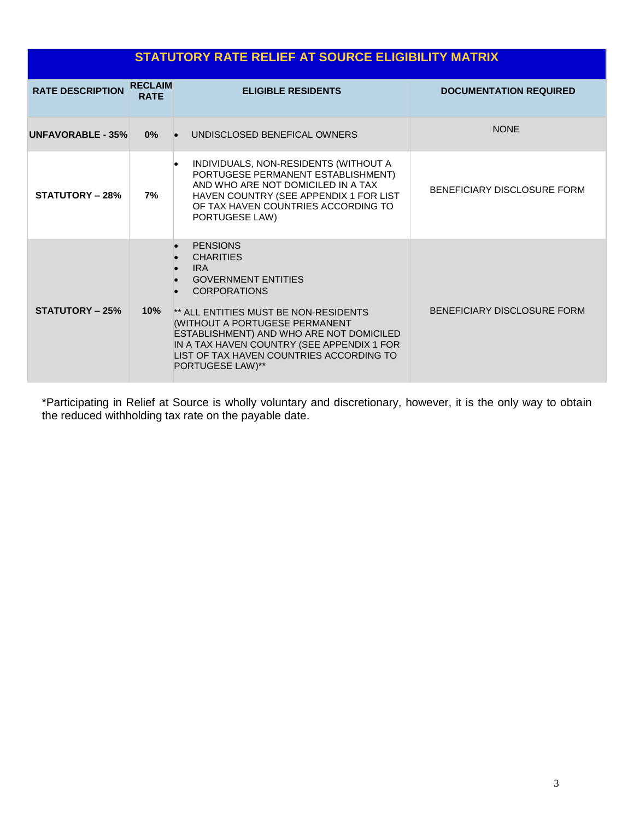| <b>STATUTORY RATE RELIEF AT SOURCE ELIGIBILITY MATRIX</b> |                               |                                                                                                                                                                                                                                                                                                                                                                                                 |                               |  |  |  |  |
|-----------------------------------------------------------|-------------------------------|-------------------------------------------------------------------------------------------------------------------------------------------------------------------------------------------------------------------------------------------------------------------------------------------------------------------------------------------------------------------------------------------------|-------------------------------|--|--|--|--|
| <b>RATE DESCRIPTION</b>                                   | <b>RECLAIM</b><br><b>RATE</b> | <b>ELIGIBLE RESIDENTS</b>                                                                                                                                                                                                                                                                                                                                                                       | <b>DOCUMENTATION REQUIRED</b> |  |  |  |  |
| UNFAVORABLE - 35%                                         | 0%                            | UNDISCLOSED BENEFICAL OWNERS<br>$\bullet$                                                                                                                                                                                                                                                                                                                                                       | <b>NONE</b>                   |  |  |  |  |
| <b>STATUTORY – 28%</b>                                    | 7%                            | INDIVIDUALS, NON-RESIDENTS (WITHOUT A<br>$\bullet$<br>PORTUGESE PERMANENT ESTABLISHMENT)<br>AND WHO ARE NOT DOMICILED IN A TAX<br>HAVEN COUNTRY (SEE APPENDIX 1 FOR LIST<br>OF TAX HAVEN COUNTRIES ACCORDING TO<br>PORTUGESE LAW)                                                                                                                                                               | BENEFICIARY DISCLOSURE FORM   |  |  |  |  |
| <b>STATUTORY - 25%</b>                                    | 10%                           | <b>PENSIONS</b><br>$\bullet$<br><b>CHARITIES</b><br>$\bullet$<br><b>IRA</b><br>$\bullet$<br><b>GOVERNMENT ENTITIES</b><br>$\bullet$<br><b>CORPORATIONS</b><br>** ALL ENTITIES MUST BE NON-RESIDENTS<br>(WITHOUT A PORTUGESE PERMANENT<br>ESTABLISHMENT) AND WHO ARE NOT DOMICILED<br>IN A TAX HAVEN COUNTRY (SEE APPENDIX 1 FOR<br>LIST OF TAX HAVEN COUNTRIES ACCORDING TO<br>PORTUGESE LAW)** | BENEFICIARY DISCLOSURE FORM   |  |  |  |  |

\*Participating in Relief at Source is wholly voluntary and discretionary, however, it is the only way to obtain the reduced withholding tax rate on the payable date.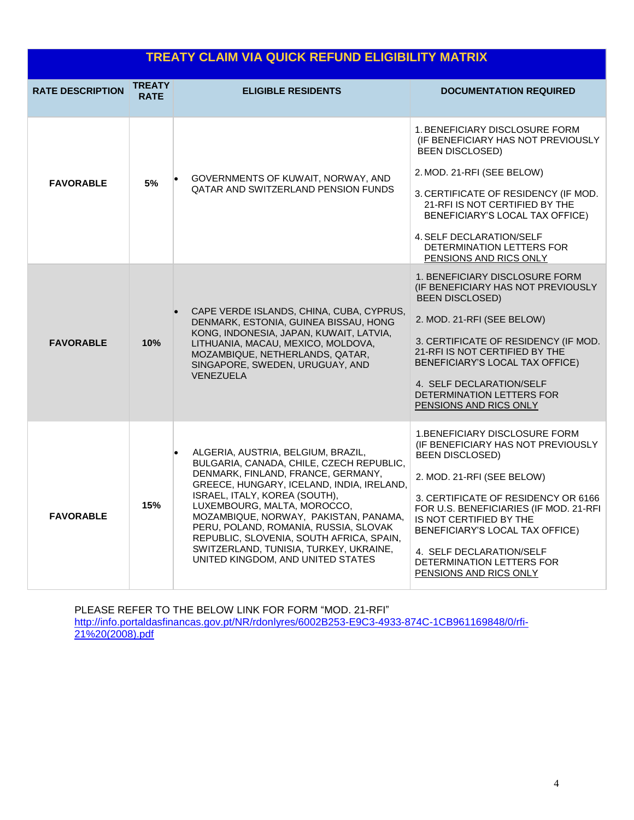| <b>TREATY CLAIM VIA QUICK REFUND ELIGIBILITY MATRIX</b> |                              |                                                                                                                                                                                                                                                                                                                                                                                                                                                |                                                                                                                                                                                                                                                                                                                                                                      |  |  |  |  |
|---------------------------------------------------------|------------------------------|------------------------------------------------------------------------------------------------------------------------------------------------------------------------------------------------------------------------------------------------------------------------------------------------------------------------------------------------------------------------------------------------------------------------------------------------|----------------------------------------------------------------------------------------------------------------------------------------------------------------------------------------------------------------------------------------------------------------------------------------------------------------------------------------------------------------------|--|--|--|--|
| <b>RATE DESCRIPTION</b>                                 | <b>TREATY</b><br><b>RATE</b> | <b>ELIGIBLE RESIDENTS</b>                                                                                                                                                                                                                                                                                                                                                                                                                      | <b>DOCUMENTATION REQUIRED</b>                                                                                                                                                                                                                                                                                                                                        |  |  |  |  |
| <b>FAVORABLE</b>                                        | 5%                           | GOVERNMENTS OF KUWAIT, NORWAY, AND<br><b>QATAR AND SWITZERLAND PENSION FUNDS</b>                                                                                                                                                                                                                                                                                                                                                               | 1. BENEFICIARY DISCLOSURE FORM<br><b><i>(IF BENEFICIARY HAS NOT PREVIOUSLY)</i></b><br><b>BEEN DISCLOSED)</b><br>2. MOD. 21-RFI (SEE BELOW)<br>3. CERTIFICATE OF RESIDENCY (IF MOD.<br>21-RFI IS NOT CERTIFIED BY THE<br>BENEFICIARY'S LOCAL TAX OFFICE)<br>4. SELF DECLARATION/SELF<br>DETERMINATION LETTERS FOR<br>PENSIONS AND RICS ONLY                          |  |  |  |  |
| <b>FAVORABLE</b>                                        | 10%                          | CAPE VERDE ISLANDS, CHINA, CUBA, CYPRUS,<br>DENMARK, ESTONIA, GUINEA BISSAU, HONG<br>KONG, INDONESIA, JAPAN, KUWAIT, LATVIA,<br>LITHUANIA, MACAU, MEXICO, MOLDOVA,<br>MOZAMBIQUE, NETHERLANDS, QATAR,<br>SINGAPORE, SWEDEN, URUGUAY, AND<br>VENEZUELA                                                                                                                                                                                          | 1. BENEFICIARY DISCLOSURE FORM<br>(IF BENEFICIARY HAS NOT PREVIOUSLY<br><b>BEEN DISCLOSED)</b><br>2. MOD. 21-RFI (SEE BELOW)<br>3. CERTIFICATE OF RESIDENCY (IF MOD.<br>21-RFI IS NOT CERTIFIED BY THE<br>BENEFICIARY'S LOCAL TAX OFFICE)<br>4. SELF DECLARATION/SELF<br>DETERMINATION LETTERS FOR<br>PENSIONS AND RICS ONLY                                         |  |  |  |  |
| <b>FAVORABLE</b>                                        | 15%                          | ALGERIA, AUSTRIA, BELGIUM, BRAZIL,<br>BULGARIA, CANADA, CHILE, CZECH REPUBLIC,<br>DENMARK, FINLAND, FRANCE, GERMANY,<br>GREECE, HUNGARY, ICELAND, INDIA, IRELAND,<br>ISRAEL, ITALY, KOREA (SOUTH),<br>LUXEMBOURG, MALTA, MOROCCO,<br>MOZAMBIQUE, NORWAY, PAKISTAN, PANAMA,<br>PERU, POLAND, ROMANIA, RUSSIA, SLOVAK<br>REPUBLIC, SLOVENIA, SOUTH AFRICA, SPAIN,<br>SWITZERLAND, TUNISIA, TURKEY, UKRAINE,<br>UNITED KINGDOM, AND UNITED STATES | <b>1.BENEFICIARY DISCLOSURE FORM</b><br>(IF BENEFICIARY HAS NOT PREVIOUSLY<br><b>BEEN DISCLOSED)</b><br>2. MOD. 21-RFI (SEE BELOW)<br>3. CERTIFICATE OF RESIDENCY OR 6166<br>FOR U.S. BENEFICIARIES (IF MOD. 21-RFI<br>IS NOT CERTIFIED BY THE<br>BENEFICIARY'S LOCAL TAX OFFICE)<br>4. SELF DECLARATION/SELF<br>DETERMINATION LETTERS FOR<br>PENSIONS AND RICS ONLY |  |  |  |  |

PLEASE REFER TO THE BELOW LINK FOR FORM "MOD. 21-RFI" [http://info.portaldasfinancas.gov.pt/NR/rdonlyres/6002B253-E9C3-4933-874C-1CB961169848/0/rfi-](http://info.portaldasfinancas.gov.pt/NR/rdonlyres/6002B253-E9C3-4933-874C-1CB961169848/0/rfi-21%20(2008).pdf)[21%20\(2008\).pdf](http://info.portaldasfinancas.gov.pt/NR/rdonlyres/6002B253-E9C3-4933-874C-1CB961169848/0/rfi-21%20(2008).pdf)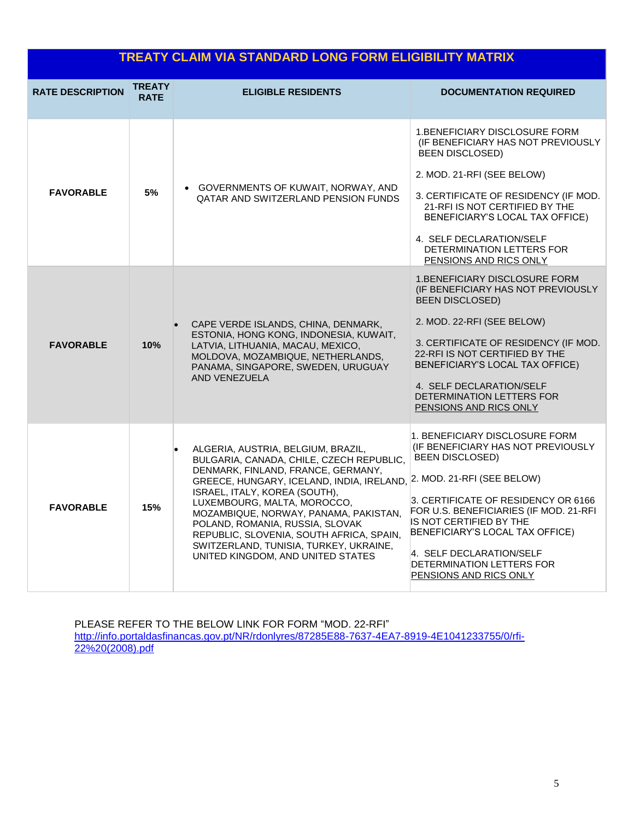| TREATY CLAIM VIA STANDARD LONG FORM ELIGIBILITY MATRIX |                              |                                                                                                                                                                                                                                                                                                                                                                                                                                                                                  |                                                                                                                                                                                                                                                                                                                                          |  |  |  |
|--------------------------------------------------------|------------------------------|----------------------------------------------------------------------------------------------------------------------------------------------------------------------------------------------------------------------------------------------------------------------------------------------------------------------------------------------------------------------------------------------------------------------------------------------------------------------------------|------------------------------------------------------------------------------------------------------------------------------------------------------------------------------------------------------------------------------------------------------------------------------------------------------------------------------------------|--|--|--|
| <b>RATE DESCRIPTION</b>                                | <b>TREATY</b><br><b>RATE</b> | <b>ELIGIBLE RESIDENTS</b>                                                                                                                                                                                                                                                                                                                                                                                                                                                        | <b>DOCUMENTATION REQUIRED</b>                                                                                                                                                                                                                                                                                                            |  |  |  |
| <b>FAVORABLE</b>                                       | 5%                           | • GOVERNMENTS OF KUWAIT, NORWAY, AND<br>QATAR AND SWITZERLAND PENSION FUNDS                                                                                                                                                                                                                                                                                                                                                                                                      | 1.BENEFICIARY DISCLOSURE FORM<br>(IF BENEFICIARY HAS NOT PREVIOUSLY<br><b>BEEN DISCLOSED)</b><br>2. MOD. 21-RFI (SEE BELOW)<br>3. CERTIFICATE OF RESIDENCY (IF MOD.<br>21-RFI IS NOT CERTIFIED BY THE<br>BENEFICIARY'S LOCAL TAX OFFICE)<br>4. SELF DECLARATION/SELF<br>DETERMINATION LETTERS FOR<br>PENSIONS AND RICS ONLY              |  |  |  |
| <b>FAVORABLE</b>                                       | 10%                          | CAPE VERDE ISLANDS, CHINA, DENMARK,<br>ESTONIA, HONG KONG, INDONESIA, KUWAIT,<br>LATVIA, LITHUANIA, MACAU, MEXICO,<br>MOLDOVA, MOZAMBIQUE, NETHERLANDS,<br>PANAMA, SINGAPORE, SWEDEN, URUGUAY<br>AND VENEZUELA                                                                                                                                                                                                                                                                   | 1. BENEFICIARY DISCLOSURE FORM<br>(IF BENEFICIARY HAS NOT PREVIOUSLY<br><b>BEEN DISCLOSED)</b><br>2. MOD. 22-RFI (SEE BELOW)<br>3. CERTIFICATE OF RESIDENCY (IF MOD.<br>22-RFI IS NOT CERTIFIED BY THE<br>BENEFICIARY'S LOCAL TAX OFFICE)<br>4. SELF DECLARATION/SELF<br>DETERMINATION LETTERS FOR<br>PENSIONS AND RICS ONLY             |  |  |  |
| <b>FAVORABLE</b>                                       | 15%                          | ALGERIA, AUSTRIA, BELGIUM, BRAZIL,<br>$\bullet$<br>BULGARIA, CANADA, CHILE, CZECH REPUBLIC,<br>DENMARK, FINLAND, FRANCE, GERMANY,<br>GREECE, HUNGARY, ICELAND, INDIA, IRELAND, 2. MOD. 21-RFI (SEE BELOW)<br>ISRAEL, ITALY, KOREA (SOUTH),<br>LUXEMBOURG, MALTA, MOROCCO,<br>MOZAMBIQUE, NORWAY, PANAMA, PAKISTAN,<br>POLAND, ROMANIA, RUSSIA, SLOVAK<br>REPUBLIC, SLOVENIA, SOUTH AFRICA, SPAIN,<br>SWITZERLAND, TUNISIA, TURKEY, UKRAINE,<br>UNITED KINGDOM, AND UNITED STATES | 1. BENEFICIARY DISCLOSURE FORM.<br>(IF BENEFICIARY HAS NOT PREVIOUSLY<br><b>BEEN DISCLOSED)</b><br>3. CERTIFICATE OF RESIDENCY OR 6166<br>FOR U.S. BENEFICIARIES (IF MOD. 21-RFI<br>IS NOT CERTIFIED BY THE<br>BENEFICIARY'S LOCAL TAX OFFICE)<br>4. SELF DECLARATION/SELF<br>DETERMINATION LETTERS FOR<br><b>PENSIONS AND RICS ONLY</b> |  |  |  |

PLEASE REFER TO THE BELOW LINK FOR FORM "MOD. 22-RFI" [http://info.portaldasfinancas.gov.pt/NR/rdonlyres/87285E88-7637-4EA7-8919-4E1041233755/0/rfi-](http://info.portaldasfinancas.gov.pt/NR/rdonlyres/87285E88-7637-4EA7-8919-4E1041233755/0/rfi-22%20(2008).pdf)[22%20\(2008\).pdf](http://info.portaldasfinancas.gov.pt/NR/rdonlyres/87285E88-7637-4EA7-8919-4E1041233755/0/rfi-22%20(2008).pdf)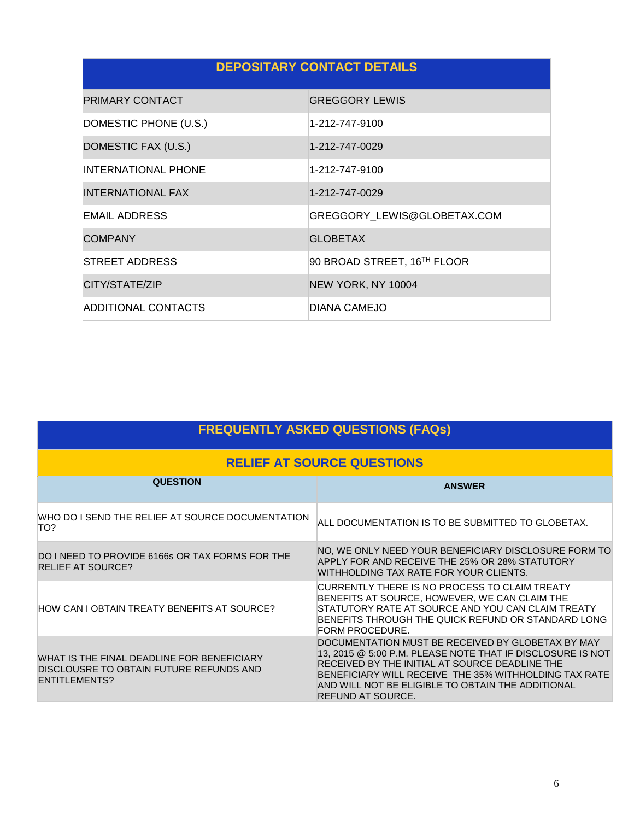## **DEPOSITARY CONTACT DETAILS**

| PRIMARY CONTACT            | <b>GREGGORY LEWIS</b>       |
|----------------------------|-----------------------------|
| DOMESTIC PHONE (U.S.)      | 1-212-747-9100              |
| DOMESTIC FAX (U.S.)        | 1-212-747-0029              |
| <b>INTERNATIONAL PHONE</b> | 1-212-747-9100              |
| INTERNATIONAL FAX          | 1-212-747-0029              |
| EMAIL ADDRESS              | GREGGORY_LEWIS@GLOBETAX.COM |
| <b>COMPANY</b>             | <b>GLOBETAX</b>             |
| STREET ADDRESS             | 90 BROAD STREET, 16TH FLOOR |
| CITY/STATE/ZIP             | NEW YORK, NY 10004          |
| ADDITIONAL CONTACTS        | DIANA CAMEJO                |

| <b>FREQUENTLY ASKED QUESTIONS (FAQs)</b>                                                                      |                                                                                                                                                                                                                                                                                                      |  |  |  |  |
|---------------------------------------------------------------------------------------------------------------|------------------------------------------------------------------------------------------------------------------------------------------------------------------------------------------------------------------------------------------------------------------------------------------------------|--|--|--|--|
| <b>RELIEF AT SOURCE QUESTIONS</b>                                                                             |                                                                                                                                                                                                                                                                                                      |  |  |  |  |
| <b>QUESTION</b>                                                                                               | <b>ANSWER</b>                                                                                                                                                                                                                                                                                        |  |  |  |  |
| WHO DO I SEND THE RELIEF AT SOURCE DOCUMENTATION<br>TO?                                                       | ALL DOCUMENTATION IS TO BE SUBMITTED TO GLOBETAX.                                                                                                                                                                                                                                                    |  |  |  |  |
| DO I NEED TO PROVIDE 6166s OR TAX FORMS FOR THE<br><b>RELIEF AT SOURCE?</b>                                   | NO, WE ONLY NEED YOUR BENEFICIARY DISCLOSURE FORM TO<br>APPLY FOR AND RECEIVE THE 25% OR 28% STATUTORY<br>WITHHOLDING TAX RATE FOR YOUR CLIENTS.                                                                                                                                                     |  |  |  |  |
| HOW CAN I OBTAIN TREATY BENEFITS AT SOURCE?                                                                   | CURRENTLY THERE IS NO PROCESS TO CLAIM TREATY<br>BENEFITS AT SOURCE, HOWEVER, WE CAN CLAIM THE<br>STATUTORY RATE AT SOURCE AND YOU CAN CLAIM TREATY<br>BENEFITS THROUGH THE QUICK REFUND OR STANDARD LONG<br>FORM PROCEDURE.                                                                         |  |  |  |  |
| WHAT IS THE FINAL DEADLINE FOR BENEFICIARY<br>DISCLOUSRE TO OBTAIN FUTURE REFUNDS AND<br><b>ENTITLEMENTS?</b> | DOCUMENTATION MUST BE RECEIVED BY GLOBETAX BY MAY<br>13, 2015 @ 5:00 P.M. PLEASE NOTE THAT IF DISCLOSURE IS NOT<br>RECEIVED BY THE INITIAL AT SOURCE DEADLINE THE<br>BENEFICIARY WILL RECEIVE THE 35% WITHHOLDING TAX RATE<br>AND WILL NOT BE ELIGIBLE TO OBTAIN THE ADDITIONAL<br>REFUND AT SOURCE. |  |  |  |  |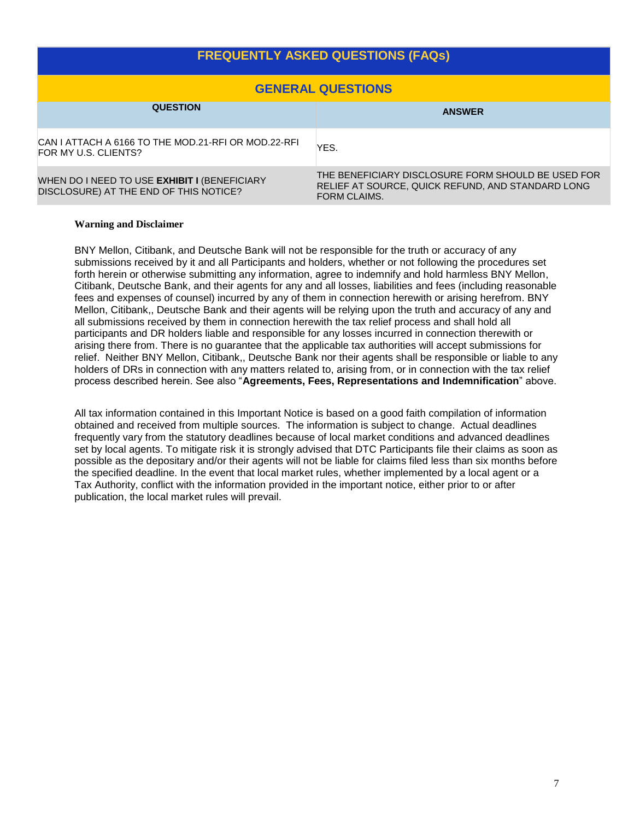## **FREQUENTLY ASKED QUESTIONS (FAQs)**

| <b>GENERAL QUESTIONS</b>                                                                      |                                                                                                                         |  |  |  |  |
|-----------------------------------------------------------------------------------------------|-------------------------------------------------------------------------------------------------------------------------|--|--|--|--|
| <b>QUESTION</b>                                                                               | <b>ANSWER</b>                                                                                                           |  |  |  |  |
| CAN I ATTACH A 6166 TO THE MOD.21-RFI OR MOD.22-RFI<br>FOR MY U.S. CLIENTS?                   | YES.                                                                                                                    |  |  |  |  |
| WHEN DO I NEED TO USE <b>EXHIBIT I</b> (BENEFICIARY<br>DISCLOSURE) AT THE END OF THIS NOTICE? | THE BENEFICIARY DISCLOSURE FORM SHOULD BE USED FOR<br>RELIEF AT SOURCE, QUICK REFUND, AND STANDARD LONG<br>FORM CLAIMS. |  |  |  |  |

#### **Warning and Disclaimer**

BNY Mellon, Citibank, and Deutsche Bank will not be responsible for the truth or accuracy of any submissions received by it and all Participants and holders, whether or not following the procedures set forth herein or otherwise submitting any information, agree to indemnify and hold harmless BNY Mellon, Citibank, Deutsche Bank, and their agents for any and all losses, liabilities and fees (including reasonable fees and expenses of counsel) incurred by any of them in connection herewith or arising herefrom. BNY Mellon, Citibank,, Deutsche Bank and their agents will be relying upon the truth and accuracy of any and all submissions received by them in connection herewith the tax relief process and shall hold all participants and DR holders liable and responsible for any losses incurred in connection therewith or arising there from. There is no guarantee that the applicable tax authorities will accept submissions for relief. Neither BNY Mellon, Citibank,, Deutsche Bank nor their agents shall be responsible or liable to any holders of DRs in connection with any matters related to, arising from, or in connection with the tax relief process described herein. See also "**Agreements, Fees, Representations and Indemnification**" above.

All tax information contained in this Important Notice is based on a good faith compilation of information obtained and received from multiple sources. The information is subject to change. Actual deadlines frequently vary from the statutory deadlines because of local market conditions and advanced deadlines set by local agents. To mitigate risk it is strongly advised that DTC Participants file their claims as soon as possible as the depositary and/or their agents will not be liable for claims filed less than six months before the specified deadline. In the event that local market rules, whether implemented by a local agent or a Tax Authority, conflict with the information provided in the important notice, either prior to or after publication, the local market rules will prevail.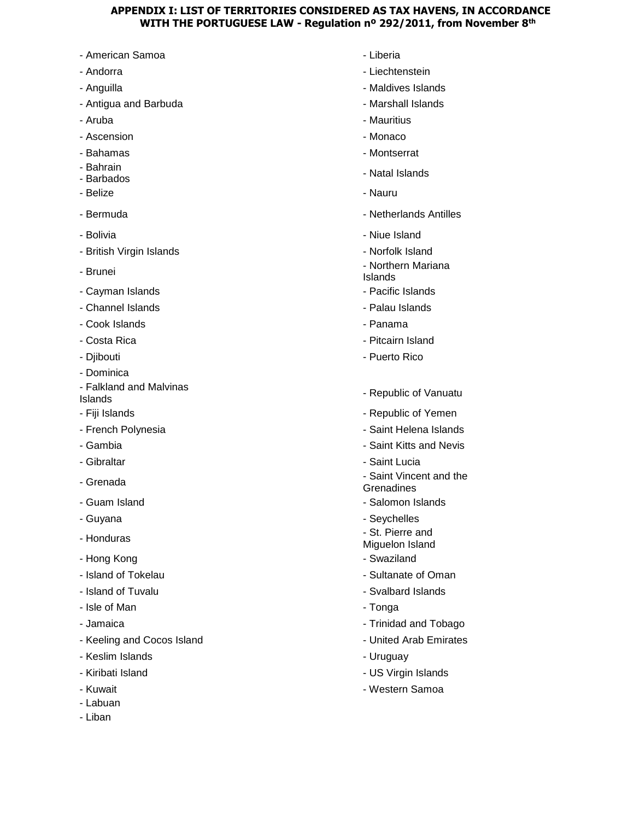### **APPENDIX I: LIST OF TERRITORIES CONSIDERED AS TAX HAVENS, IN ACCORDANCE WITH THE PORTUGUESE LAW - Regulation nº 292/2011, from November 8th**

- American Samoa Liberia
- 
- 
- Antigua and Barbuda Marshall Islands
- 
- Ascension **Ascension** Monaco
- 
- Bahrain
- 
- 
- 
- 
- British Virgin Islands Norfolk Island
- 
- Cayman Islands  **Pacific Islands** Pacific Islands
- Channel Islands Palau Islands Palau Islands Palau Islands Palau Islands
- Cook Islands  **Panama**
- 
- 
- Dominica
- Falkland and Malvinas - Taikianu anu mamnias<br>Islands
- 
- 
- 
- 
- 
- 
- 
- Honduras
- Hong Kong  **Swaziland**
- Island of Tokelau  **Sultanate of Oman**
- 
- Isle of Man Tonga
- 
- Keeling and Cocos Island United Arab Emirates
- Keslim Islands  **Williams** Uruguay
- 
- 
- Labuan
- Liban
- 
- Andorra  **Liechtenstein**
- Anguilla  **Maldives Islands** 
	-
- Aruba  **Mauritius** Mauritius Mauritius Mauritius Mauritius Mauritius Mauritius Mauritius Mauritius Mauritius Mauritius Mauritius Mauritius Mauritius Mauritius Mauritius Mauritius Maurit
	-
- Bahamas  **Montserrat**
- Barnam<br>- Barbados Natal Islands Natal Islands
- Belize Nauru
- Bermuda Netherlands Antilles
- Bolivia  **Niue Island** 
	-
- Brunei  **Northern Mariana** 
	- Islands
	-
	-
	-
- Costa Rica Pitcairn Island
- Djibouti Puerto Rico
	-
- Fiji Islands Republic of Yemen
- French Polynesia Saint Helena Islands
- Gambia  **Saint Kitts and Nevis**
- Gibraltar  **Saint Lucia**
- Grenada Saint Vincent and the Saint Vincent and the Saint Vincent and the Saint Vincent and the Saint Vincent and the Saint Vincent and the Saint Vincent and the Saint Vincent and the Saint Vincent and the Saint Vincen **Grenadines**
- Guam Island  **Salomon Islands** Salomon Islands
- Guyana  **Seychelles** 
	- St. Pierre and
	- Miguelon Island
	-
	-
- Island of Tuvalu Svalbard Islands Svalbard Islands Svalbard Islands Svalbard Islands Svalbard Islands Svalbard Islands Svalbard Islands Svalbard Islands Svalbard Islands Svalbard Islands Svalbard Is
	-
- Jamaica Trinidad and Tobago
	-
	-
- Kiribati Island  **Kiribati Islands** US Virgin Islands
- Kuwait **Albumi and Samoa** Western Samoa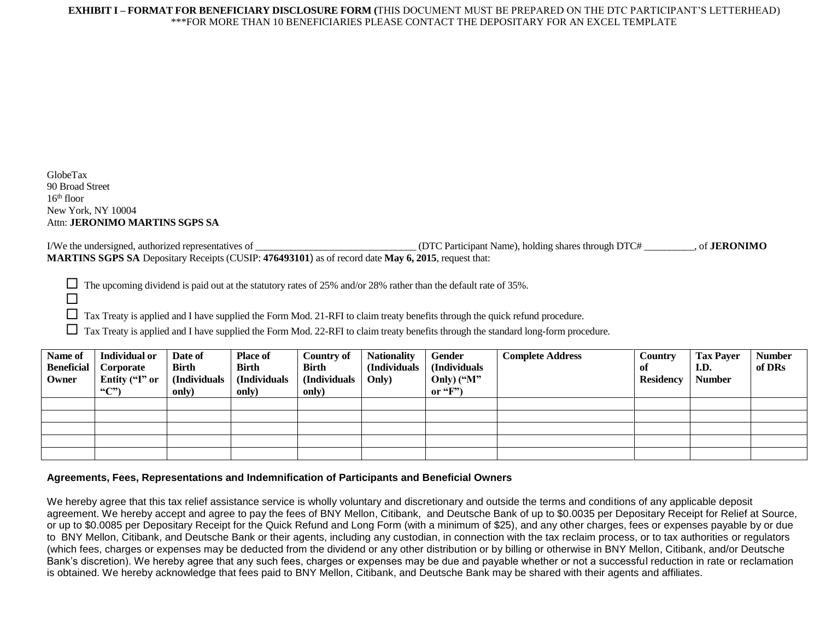GlobeTax 90 Broad Street  $16<sup>th</sup>$  floor New York, NY 10004 Attn: **JERONIMO MARTINS SGPS SA**

 $\Box$ 

I/We the undersigned, authorized representatives of \_\_\_\_\_\_\_\_\_\_\_\_\_\_\_\_\_\_\_\_\_\_\_\_\_\_\_\_\_\_\_\_ (DTC Participant Name), holding shares through DTC# \_\_\_\_\_\_\_\_\_\_, of **JERONIMO MARTINS SGPS SA** Depositary Receipts (CUSIP: **476493101**) as of record date **May 6, 2015**, request that:

 $\Box$  The upcoming dividend is paid out at the statutory rates of 25% and/or 28% rather than the default rate of 35%.

Tax Treaty is applied and I have supplied the Form Mod. 21-RFI to claim treaty benefits through the quick refund procedure.

Tax Treaty is applied and I have supplied the Form Mod. 22-RFI to claim treaty benefits through the standard long-form procedure.

| Name of<br><b>Beneficial</b><br>Owner | <b>Individual or</b><br>Corporate<br>Entity ("I" or<br>$\lq\lq C$ ") | Date of<br><b>Birth</b><br>(Individuals<br>only) | <b>Place of</b><br><b>Birth</b><br>(Individuals<br>only) | <b>Country of</b><br><b>Birth</b><br>(Individuals<br>only) | <b>Nationality</b><br>(Individuals<br>Only) | Gender<br>(Individuals<br>Only) ("M"<br>or " $F$ ") | <b>Complete Address</b> | <b>Country</b><br>-of<br><b>Residency</b> | <b>Tax Payer</b><br>I.D.<br><b>Number</b> | <b>Number</b><br>of DRs |
|---------------------------------------|----------------------------------------------------------------------|--------------------------------------------------|----------------------------------------------------------|------------------------------------------------------------|---------------------------------------------|-----------------------------------------------------|-------------------------|-------------------------------------------|-------------------------------------------|-------------------------|
|                                       |                                                                      |                                                  |                                                          |                                                            |                                             |                                                     |                         |                                           |                                           |                         |
|                                       |                                                                      |                                                  |                                                          |                                                            |                                             |                                                     |                         |                                           |                                           |                         |
|                                       |                                                                      |                                                  |                                                          |                                                            |                                             |                                                     |                         |                                           |                                           |                         |
|                                       |                                                                      |                                                  |                                                          |                                                            |                                             |                                                     |                         |                                           |                                           |                         |
|                                       |                                                                      |                                                  |                                                          |                                                            |                                             |                                                     |                         |                                           |                                           |                         |

#### **Agreements, Fees, Representations and Indemnification of Participants and Beneficial Owners**

We hereby agree that this tax relief assistance service is wholly voluntary and discretionary and outside the terms and conditions of any applicable deposit agreement. We hereby accept and agree to pay the fees of BNY Mellon, Citibank, and Deutsche Bank of up to \$0.0035 per Depositary Receipt for Relief at Source, or up to \$0.0085 per Depositary Receipt for the Quick Refund and Long Form (with a minimum of \$25), and any other charges, fees or expenses payable by or due to BNY Mellon, Citibank, and Deutsche Bank or their agents, including any custodian, in connection with the tax reclaim process, or to tax authorities or regulators (which fees, charges or expenses may be deducted from the dividend or any other distribution or by billing or otherwise in BNY Mellon, Citibank, and/or Deutsche Bank's discretion). We hereby agree that any such fees, charges or expenses may be due and payable whether or not a successful reduction in rate or reclamation is obtained. We hereby acknowledge that fees paid to BNY Mellon, Citibank, and Deutsche Bank may be shared with their agents and affiliates.